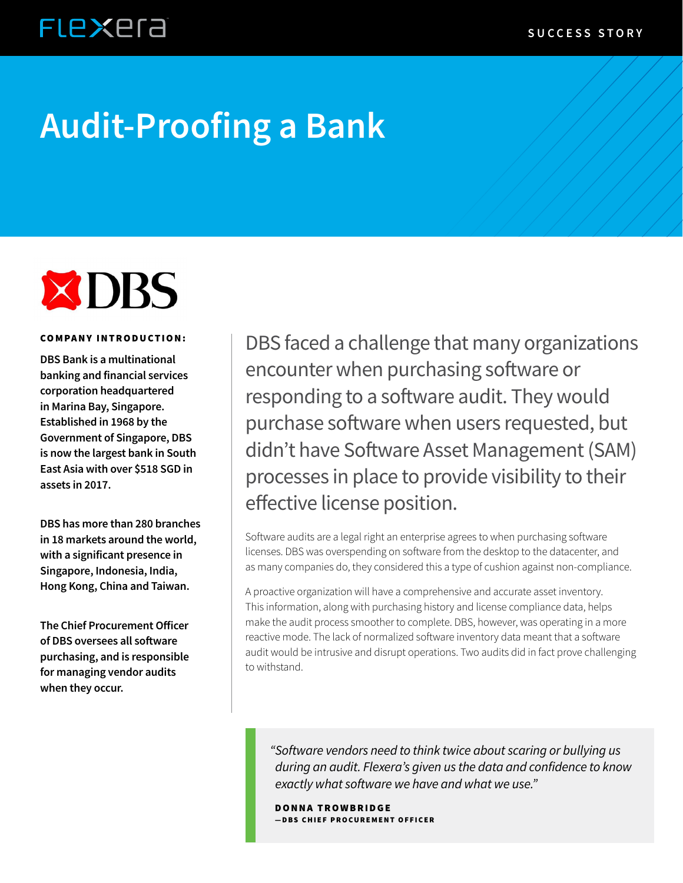## **FLEXEra**

# **Audit-Proofing a Bank**



#### COMPANY INTRODUCTION:

**DBS Bank is a multinational banking and financial services corporation headquartered in Marina Bay, Singapore. Established in 1968 by the Government of Singapore, DBS is now the largest bank in South East Asia with over \$518 SGD in assets in 2017.**

**DBS has more than 280 branches in 18 markets around the world, with a significant presence in Singapore, Indonesia, India, Hong Kong, China and Taiwan.**

**The Chief Procurement Officer of DBS oversees all software purchasing, and is responsible for managing vendor audits when they occur.**

DBS faced a challenge that many organizations encounter when purchasing software or responding to a software audit. They would purchase software when users requested, but didn't have Software Asset Management (SAM) processes in place to provide visibility to their effective license position.

Software audits are a legal right an enterprise agrees to when purchasing software licenses. DBS was overspending on software from the desktop to the datacenter, and as many companies do, they considered this a type of cushion against non-compliance.

A proactive organization will have a comprehensive and accurate asset inventory. This information, along with purchasing history and license compliance data, helps make the audit process smoother to complete. DBS, however, was operating in a more reactive mode. The lack of normalized software inventory data meant that a software audit would be intrusive and disrupt operations. Two audits did in fact prove challenging to withstand.

*"Software vendors need to think twice about scaring or bullying us during an audit. Flexera's given us the data and confidence to know exactly what software we have and what we use."*

DONNA TROWBRIDGE —DBS CHIEF PROCUREMENT OFFICER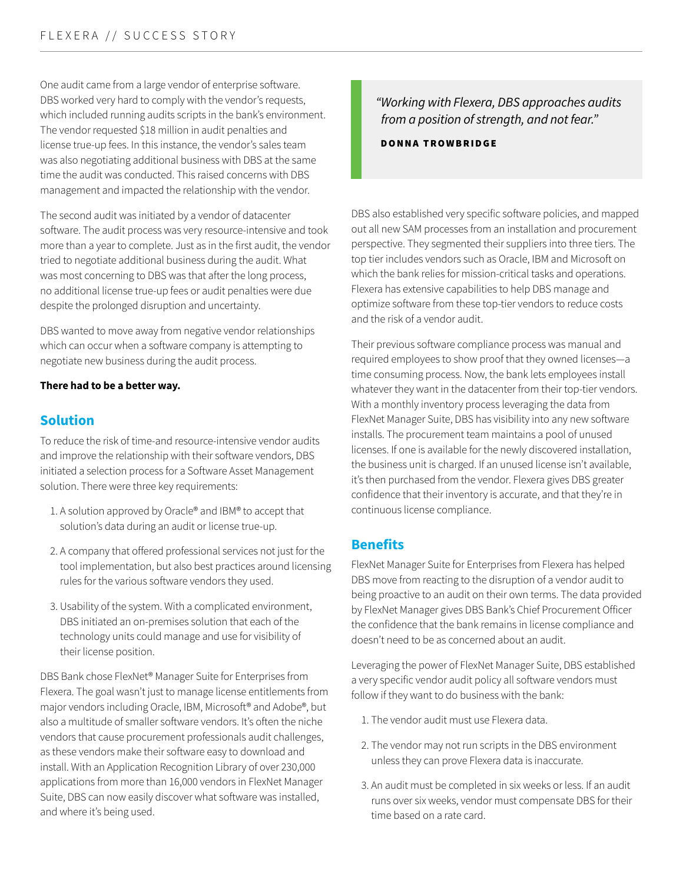One audit came from a large vendor of enterprise software. DBS worked very hard to comply with the vendor's requests, which included running audits scripts in the bank's environment. The vendor requested \$18 million in audit penalties and license true-up fees. In this instance, the vendor's sales team was also negotiating additional business with DBS at the same time the audit was conducted. This raised concerns with DBS management and impacted the relationship with the vendor.

The second audit was initiated by a vendor of datacenter software. The audit process was very resource-intensive and took more than a year to complete. Just as in the first audit, the vendor tried to negotiate additional business during the audit. What was most concerning to DBS was that after the long process, no additional license true-up fees or audit penalties were due despite the prolonged disruption and uncertainty.

DBS wanted to move away from negative vendor relationships which can occur when a software company is attempting to negotiate new business during the audit process.

#### **There had to be a better way.**

#### **Solution**

To reduce the risk of time-and resource-intensive vendor audits and improve the relationship with their software vendors, DBS initiated a selection process for a Software Asset Management solution. There were three key requirements:

- 1. A solution approved by Oracle® and IBM® to accept that solution's data during an audit or license true-up.
- 2. A company that offered professional services not just for the tool implementation, but also best practices around licensing rules for the various software vendors they used.
- 3. Usability of the system. With a complicated environment, DBS initiated an on-premises solution that each of the technology units could manage and use for visibility of their license position.

DBS Bank chose FlexNet® Manager Suite for Enterprises from Flexera. The goal wasn't just to manage license entitlements from major vendors including Oracle, IBM, Microsoft® and Adobe®, but also a multitude of smaller software vendors. It's often the niche vendors that cause procurement professionals audit challenges, as these vendors make their software easy to download and install. With an Application Recognition Library of over 230,000 applications from more than 16,000 vendors in FlexNet Manager Suite, DBS can now easily discover what software was installed, and where it's being used.

#### *"Working with Flexera, DBS approaches audits from a position of strength, and not fear."*

DONNA TROWBRIDGE

DBS also established very specific software policies, and mapped out all new SAM processes from an installation and procurement perspective. They segmented their suppliers into three tiers. The top tier includes vendors such as Oracle, IBM and Microsoft on which the bank relies for mission-critical tasks and operations. Flexera has extensive capabilities to help DBS manage and optimize software from these top-tier vendors to reduce costs and the risk of a vendor audit.

Their previous software compliance process was manual and required employees to show proof that they owned licenses―a time consuming process. Now, the bank lets employees install whatever they want in the datacenter from their top-tier vendors. With a monthly inventory process leveraging the data from FlexNet Manager Suite, DBS has visibility into any new software installs. The procurement team maintains a pool of unused licenses. If one is available for the newly discovered installation, the business unit is charged. If an unused license isn't available, it's then purchased from the vendor. Flexera gives DBS greater confidence that their inventory is accurate, and that they're in continuous license compliance.

#### **Benefits**

FlexNet Manager Suite for Enterprises from Flexera has helped DBS move from reacting to the disruption of a vendor audit to being proactive to an audit on their own terms. The data provided by FlexNet Manager gives DBS Bank's Chief Procurement Officer the confidence that the bank remains in license compliance and doesn't need to be as concerned about an audit.

Leveraging the power of FlexNet Manager Suite, DBS established a very specific vendor audit policy all software vendors must follow if they want to do business with the bank:

- 1. The vendor audit must use Flexera data.
- 2. The vendor may not run scripts in the DBS environment unless they can prove Flexera data is inaccurate.
- 3. An audit must be completed in six weeks or less. If an audit runs over six weeks, vendor must compensate DBS for their time based on a rate card.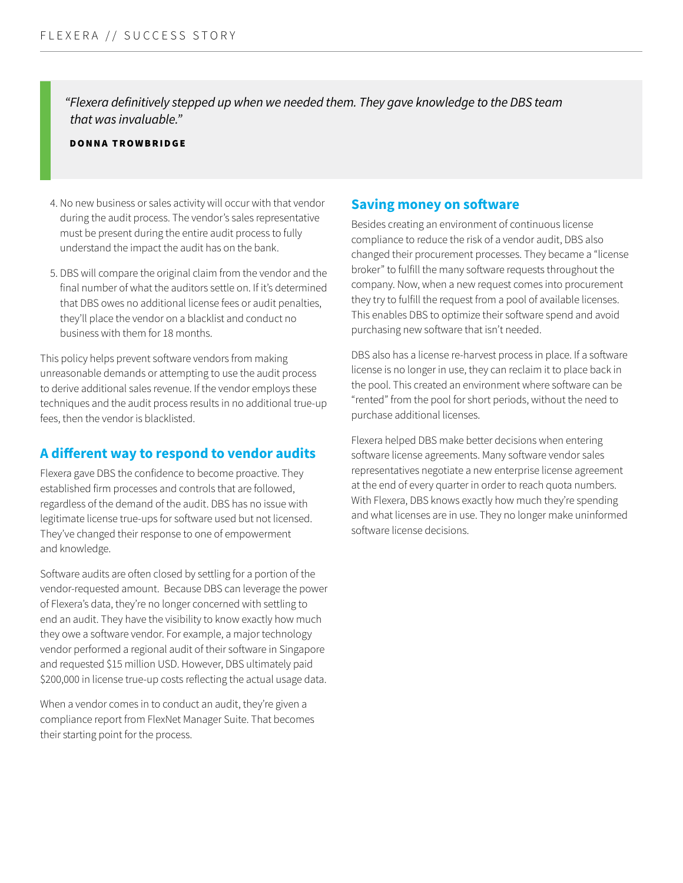*"Flexera definitively stepped up when we needed them. They gave knowledge to the DBS team that was invaluable."*

#### DONNA TROWBRIDGE

- 4. No new business or sales activity will occur with that vendor during the audit process. The vendor's sales representative must be present during the entire audit process to fully understand the impact the audit has on the bank.
- 5. DBS will compare the original claim from the vendor and the final number of what the auditors settle on. If it's determined that DBS owes no additional license fees or audit penalties, they'll place the vendor on a blacklist and conduct no business with them for 18 months.

This policy helps prevent software vendors from making unreasonable demands or attempting to use the audit process to derive additional sales revenue. If the vendor employs these techniques and the audit process results in no additional true-up fees, then the vendor is blacklisted.

#### **A different way to respond to vendor audits**

Flexera gave DBS the confidence to become proactive. They established firm processes and controls that are followed, regardless of the demand of the audit. DBS has no issue with legitimate license true-ups for software used but not licensed. They've changed their response to one of empowerment and knowledge.

Software audits are often closed by settling for a portion of the vendor-requested amount. Because DBS can leverage the power of Flexera's data, they're no longer concerned with settling to end an audit. They have the visibility to know exactly how much they owe a software vendor. For example, a major technology vendor performed a regional audit of their software in Singapore and requested \$15 million USD. However, DBS ultimately paid \$200,000 in license true-up costs reflecting the actual usage data.

When a vendor comes in to conduct an audit, they're given a compliance report from FlexNet Manager Suite. That becomes their starting point for the process.

#### **Saving money on software**

Besides creating an environment of continuous license compliance to reduce the risk of a vendor audit, DBS also changed their procurement processes. They became a "license broker" to fulfill the many software requests throughout the company. Now, when a new request comes into procurement they try to fulfill the request from a pool of available licenses. This enables DBS to optimize their software spend and avoid purchasing new software that isn't needed.

DBS also has a license re-harvest process in place. If a software license is no longer in use, they can reclaim it to place back in the pool. This created an environment where software can be "rented" from the pool for short periods, without the need to purchase additional licenses.

Flexera helped DBS make better decisions when entering software license agreements. Many software vendor sales representatives negotiate a new enterprise license agreement at the end of every quarter in order to reach quota numbers. With Flexera, DBS knows exactly how much they're spending and what licenses are in use. They no longer make uninformed software license decisions.